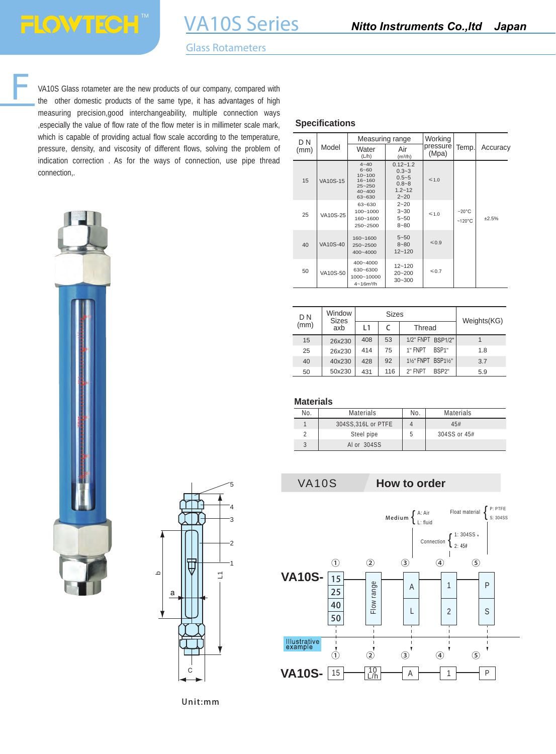VA10S Series

VA10S Glass rotameter are the new products of our company, compared with the other domestic products of the same type, it has advantages of high measuring precision,good interchangeability, multiple connection ways ,especially the value of flow rate of the flow meter is in millimeter scale mark, which is capable of providing actual flow scale according to the temperature, pressure, density, and viscosity of different flows, solving the problem of indication correction . As for the ways of connection, use pipe thread connection,.





### **Specifications**

| D N  |          | Measuring range                                                                        |                                                                               | Working           |                                     |          |
|------|----------|----------------------------------------------------------------------------------------|-------------------------------------------------------------------------------|-------------------|-------------------------------------|----------|
| (mm) | Model    | Water<br>(L/h)                                                                         | Air<br>(m <sup>3</sup> /h)                                                    | pressure<br>(Mpa) | Temp.                               | Accuracy |
| 15   | VA10S-15 | $4 - 40$<br>$6 - 60$<br>$10 - 100$<br>$16 - 160$<br>$25 - 250$<br>$40 - 400$<br>63~630 | $0.12 - 1.2$<br>$0.3 - 3$<br>$0.5 - 5$<br>$0.8 - 8$<br>$1.2 - 12$<br>$2 - 20$ | $\leq 1.0$        |                                     |          |
| 25   | VA10S-25 | 63~630<br>100~1000<br>160~1600<br>250~2500                                             | $2 - 20$<br>$3 - 30$<br>$5 - 50$<br>$8 - 80$                                  | $\leq 1.0$        | $-20^{\circ}$ C<br>$~120^{\circ}$ C | ±2.5%    |
| 40   | VA10S-40 | 160~1600<br>250~2500<br>$400 - 4000$                                                   | $5 - 50$<br>$8 - 80$<br>$12 - 120$                                            | $\leqslant$ 0.9   |                                     |          |
| 50   | VA10S-50 | 400~4000<br>630~6300<br>1000~10000<br>$4 - 16m^3/h$                                    | $12 - 120$<br>$20 - 200$<br>$30 - 300$                                        | $\leqslant$ 0.7   |                                     |          |

| Window<br>D <sub>N</sub><br><b>Sizes</b> |        |     | <b>Sizes</b> | Weights(KG)                   |     |
|------------------------------------------|--------|-----|--------------|-------------------------------|-----|
| (mm)                                     | axb    | l 1 | C            | <b>Thread</b>                 |     |
| 15                                       | 26x230 | 408 | 53           | 1/2" FNPT BSP1/2"             |     |
| 25                                       | 26x230 | 414 | 75           | BSP <sub>1</sub> "<br>1" FNPT | 1.8 |
| 40                                       | 40x230 | 428 | 92           | 1%" FNPT BSP1%"               | 3.7 |
| 50                                       | 50x230 | 431 | 116          | 2" FNPT<br>RSP <sub>2"</sub>  | 5.9 |

### **Materials**

| Nο | <b>Materials</b>    | No. | <b>Materials</b> |
|----|---------------------|-----|------------------|
|    | 304SS, 316L or PTFE |     | 45#              |
|    | Steel pipe          | b   | 304SS or 45#     |
| c  | Al or 304SS         |     |                  |

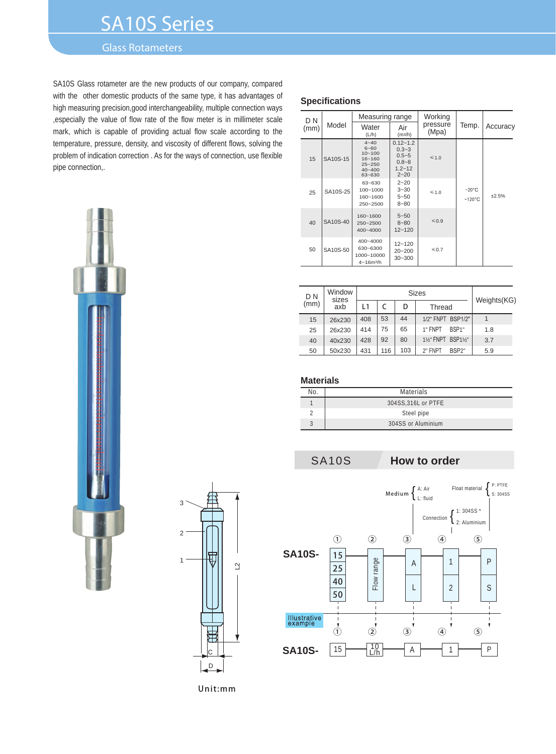# SA10S Series

# Glass Rotameters

SA10S Glass rotameter are the new products of our company, compared with the other domestic products of the same type, it has advantages of high measuring precision,good interchangeability, multiple connection ways ,especially the value of flow rate of the flow meter is in millimeter scale mark, which is capable of providing actual flow scale according to the temperature, pressure, density, and viscosity of different flows, solving the problem of indication correction . As for the ways of connection, use flexible pipe connection,.





#### **Specifications**

| D N  |          | Measuring range                                                                        |                                                                               | Working           |                                     |          |
|------|----------|----------------------------------------------------------------------------------------|-------------------------------------------------------------------------------|-------------------|-------------------------------------|----------|
| (mm) | Model    | Water<br>(L/h)                                                                         | Air<br>(m3/h)                                                                 | pressure<br>(Mpa) | Temp.                               | Accuracy |
| 15   | SA10S-15 | $4 - 40$<br>$6 - 60$<br>$10 - 100$<br>$16 - 160$<br>$25 - 250$<br>$40 - 400$<br>63~630 | $0.12 - 1.2$<br>$0.3 - 3$<br>$0.5 - 5$<br>$0.8 - 8$<br>$1.2 - 12$<br>$2 - 20$ | $\leq 1.0$        |                                     |          |
| 25   | SA10S-25 | 63~630<br>100~1000<br>160~1600<br>250~2500                                             | $2 - 20$<br>$3 - 30$<br>$5 - 50$<br>$8 - 80$                                  | $\leq 1.0$        | $-20^{\circ}$ C<br>$~120^{\circ}$ C | $+2.5%$  |
| 40   | SA10S-40 | 160~1600<br>250~2500<br>$400 - 4000$                                                   | $5 - 50$<br>$8 - 80$<br>$12 - 120$                                            | $\leq 0.9$        |                                     |          |
| 50   | SA10S-50 | 400~4000<br>630~6300<br>1000~10000<br>$4 - 16m^3/h$                                    | $12 - 120$<br>$20 - 200$<br>$30 - 300$                                        | $\leq 0.7$        |                                     |          |

| D <sub>N</sub> | Window<br>sizes | <b>Sizes</b> |     | Weights(KG) |                               |     |
|----------------|-----------------|--------------|-----|-------------|-------------------------------|-----|
| (mm)           | axb             | l 1          |     | D           | Thread                        |     |
| 15             | 26x230          | 408          | 53  | 44          | 1/2" FNPT BSP1/2"             |     |
| 25             | 26x230          | 414          | 75  | 65          | 1" FNPT<br>BSP <sub>1</sub> " | 1.8 |
| 40             | 40x230          | 428          | 92  | 80          | 1%" FNPT BSP1%"               | 3.7 |
| 50             | 50x230          | 431          | 116 | 103         | 2" FNPT<br>BSP2"              | 5.9 |

### **Materials**

| Nο | <b>Materials</b>    |
|----|---------------------|
|    | 304SS, 316L or PTFE |
|    | Steel pipe          |
| c  | 304SS or Aluminium  |

SA10S **How to order**

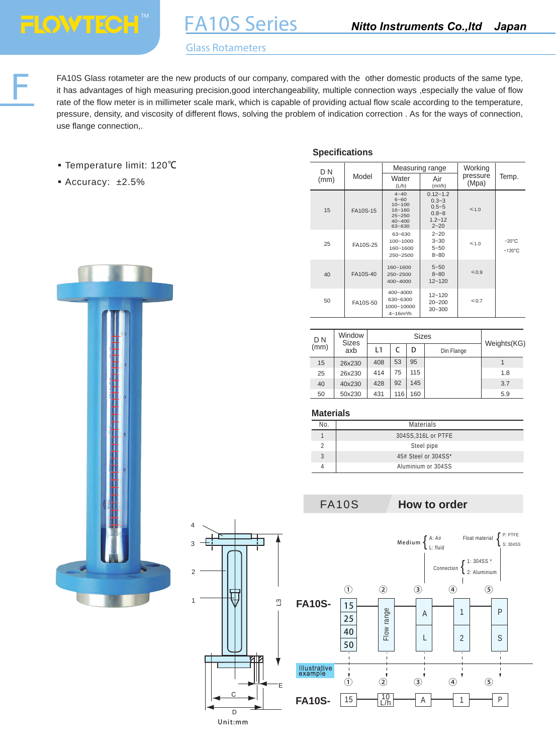F

# Glass Rotameters

FA10S Series

FA10S Glass rotameter are the new products of our company, compared with the other domestic products of the same type, it has advantages of high measuring precision,good interchangeability, multiple connection ways ,especially the value of flow rate of the flow meter is in millimeter scale mark, which is capable of providing actual flow scale according to the temperature, pressure, density, and viscosity of different flows, solving the problem of indication correction . As for the ways of connection, use flange connection,.

- Temperature limit: 120℃
- Accuracy: ±2.5%

#### **Specifications**

| D <sub>N</sub> |          |                                                                                        | Measuring range                                                               | Working           |                                     |
|----------------|----------|----------------------------------------------------------------------------------------|-------------------------------------------------------------------------------|-------------------|-------------------------------------|
| (mm)           | Model    | Water<br>(L/h)                                                                         | Air<br>(m <sup>3</sup> /h)                                                    | pressure<br>(Mpa) | Temp.                               |
| 15             | FA10S-15 | $4 - 40$<br>$6 - 60$<br>$10 - 100$<br>$16 - 160$<br>$25 - 250$<br>$40 - 400$<br>63~630 | $0.12 - 1.2$<br>$0.3 - 3$<br>$0.5 - 5$<br>$0.8 - 8$<br>$1.2 - 12$<br>$2 - 20$ | $\leq 1.0$        |                                     |
| 25             | FA10S-25 | 63~630<br>100~1000<br>160~1600<br>$250 - 2500$                                         | $2 - 20$<br>$3 - 30$<br>$5 - 50$<br>$8 - 80$                                  | $\leq 1.0$        | $-20^{\circ}$ C<br>$~120^{\circ}$ C |
| 40             | FA10S-40 | 160~1600<br>$250 - 2500$<br>$400 - 4000$                                               | $5 - 50$<br>$8 - 80$<br>$12 - 120$                                            | $\leqslant$ 0.9   |                                     |
| 50             | FA10S-50 | 400~4000<br>630~6300<br>1000~10000<br>$4 - 16m^3/h$                                    | $12 - 120$<br>$20 - 200$<br>$30 - 300$                                        | $\leq 0.7$        |                                     |

| D N  | Window<br><b>Sizes</b> | <b>Sizes</b> |                 |     | Weights(KG) |     |
|------|------------------------|--------------|-----------------|-----|-------------|-----|
| (mm) | axb                    | L1           | D<br>Din Flange |     |             |     |
| 15   | 26x230                 | 408          | 53              | 95  |             |     |
| 25   | 26x230                 | 414          | 75              | 115 |             | 1.8 |
| 40   | 40x230                 | 428          | 92              | 145 |             | 3.7 |
| 50   | 50x230                 | 431          | 116             | 160 |             | 5.9 |

### **Materials**

| No | <b>Materials</b>    |
|----|---------------------|
|    | 304SS, 316L or PTFE |
|    | Steel pipe          |
|    | 45# Steel or 304SS* |
|    | Aluminium or 304SS  |

# FA10S **How to order**





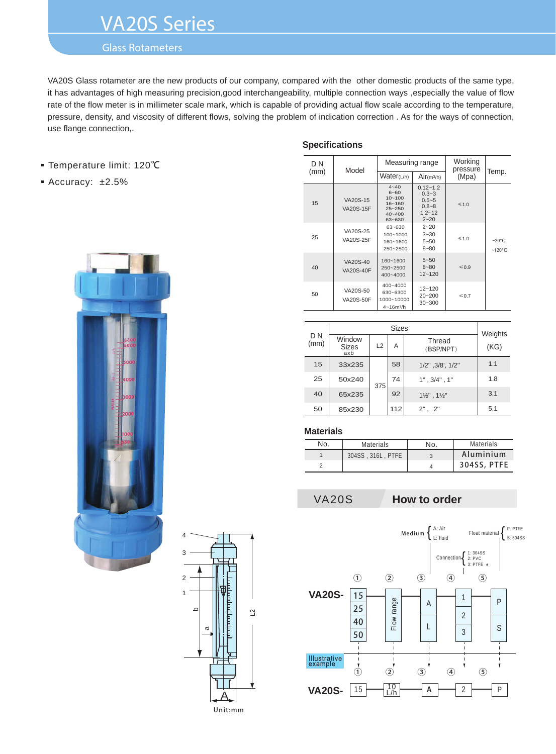# VA20S Series

# Glass Rotameters

VA20S Glass rotameter are the new products of our company, compared with the other domestic products of the same type, it has advantages of high measuring precision,good interchangeability, multiple connection ways ,especially the value of flow rate of the flow meter is in millimeter scale mark, which is capable of providing actual flow scale according to the temperature, pressure, density, and viscosity of different flows, solving the problem of indication correction . As for the ways of connection, use flange connection,.

#### ■ Temperature limit: 120℃

Accuracy: ±2.5%





#### **Specifications**

| D N  | Model                        |                                                                                        | Measuring range                                                               | Working<br>pressure |                                     |
|------|------------------------------|----------------------------------------------------------------------------------------|-------------------------------------------------------------------------------|---------------------|-------------------------------------|
| (mm) |                              | Water(L/h)                                                                             | Air(m3/h)                                                                     | (Mpa)               | Temp.                               |
| 15   | VA20S-15<br><b>VA20S-15F</b> | $4 - 40$<br>$6 - 60$<br>$10 - 100$<br>$16 - 160$<br>$25 - 250$<br>$40 - 400$<br>63~630 | $0.12 - 1.2$<br>$0.3 - 3$<br>$0.5 - 5$<br>$0.8 - 8$<br>$1.2 - 12$<br>$2 - 20$ | $\leq 1.0$          |                                     |
| 25   | VA20S-25<br>VA20S-25F        | 63~630<br>$100 - 1000$<br>160~1600<br>250~2500                                         | $2 - 20$<br>$3 - 30$<br>$5 - 50$<br>$8 - 80$                                  | $\leq 1.0$          | $-20^{\circ}$ C<br>$~120^{\circ}$ C |
| 40   | VA20S-40<br><b>VA20S-40F</b> | 160~1600<br>250~2500<br>$400 - 4000$                                                   | $5 - 50$<br>$8 - 80$<br>$12 - 120$                                            | $\leqslant$ 0.9     |                                     |
| 50   | VA20S-50<br>VA20S-50F        | $400 - 4000$<br>630~6300<br>1000~10000<br>$4 - 16m^3/h$                                | $12 - 120$<br>$20 - 200$<br>$30 - 300$                                        | $\leqslant$ 0.7     |                                     |

|             |                               | Weights |     |                                    |      |
|-------------|-------------------------------|---------|-----|------------------------------------|------|
| D N<br>(mm) | Window<br><b>Sizes</b><br>axb | L2      | Α   | Thread<br>(BSP/NPT)                | (KG) |
| 15          | 33x235                        |         | 58  | 1/2", 3/8', 1/2"                   | 1.1  |
| 25          | 50x240                        | 375     | 74  | $1"$ , $3/4"$ , $1"$               | 1.8  |
| 40          | 65x235                        |         | 92  | $1\frac{1}{2}$ ", $1\frac{1}{2}$ " | 3.1  |
| 50          | 85x230                        |         | 112 | $2"$ , $2"$                        | 5.1  |

#### **Materials**

| N٥. | <b>Materials</b>  | N٥. | <b>Materials</b> |
|-----|-------------------|-----|------------------|
|     | 304SS, 316L, PTFE |     | Aluminium        |
|     |                   |     | 304SS, PTFE      |

### VA20S **How to order**

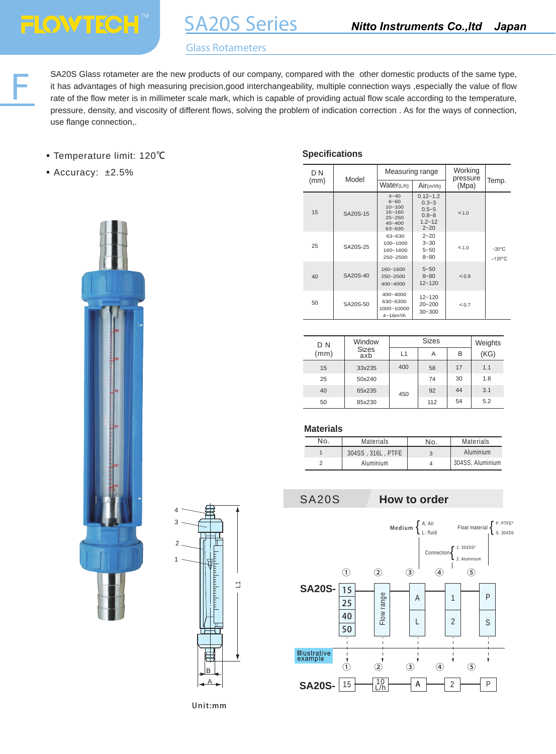SA20S Glass rotameter are the new products of our company, compared with the other domestic products of the same type, it has advantages of high measuring precision,good interchangeability, multiple connection ways ,especi it has advantages of high measuring precision,good interchangeability, multiple connection ways ,especially the value of flow rate of the flow meter is in millimeter scale mark, which is capable of providing actual flow scale according to the temperature, pressure, density, and viscosity of different flows, solving the problem of indication correction . As for the ways of connection, use flange connection,.

- Temperature limit: 120℃
- Accuracy: ±2.5%





### **Specifications**

| D N |               | Measuring range                                                                        |                                                                               | Working<br>pressure |                                     |
|-----|---------------|----------------------------------------------------------------------------------------|-------------------------------------------------------------------------------|---------------------|-------------------------------------|
|     | Model<br>(mm) |                                                                                        | Water(L/h)<br>Air(m <sup>3</sup> /h)                                          |                     | Temp.                               |
| 15  | SA20S-15      | $4 - 40$<br>$6 - 60$<br>$10 - 100$<br>$16 - 160$<br>$25 - 250$<br>$40 - 400$<br>63~630 | $0.12 - 1.2$<br>$0.3 - 3$<br>$0.5 - 5$<br>$0.8 - 8$<br>$1.2 - 12$<br>$2 - 20$ | $\leq 1.0$          |                                     |
| 25  | SA20S-25      | 63~630<br>$100 - 1000$<br>160~1600<br>250~2500                                         | $2 - 20$<br>$3 - 30$<br>$5 - 50$<br>$8 - 80$                                  | $\leq 1.0$          | $-20^{\circ}$ C<br>$~120^{\circ}$ C |
| 40  | SA20S-40      | $160 - 1600$<br>$250 - 2500$<br>$400 - 4000$                                           | $5 - 50$<br>$8 - 80$<br>$12 - 120$                                            | $\leqslant$ 0.9     |                                     |
| 50  | SA20S-50      | $400 - 4000$<br>630~6300<br>1000~10000<br>$4 - 16m^3/h$                                | $12 - 120$<br>$20 - 200$<br>$30 - 300$                                        | $\leqslant$ 0.7     |                                     |

| D N  | Window              |                  | Weights |    |      |
|------|---------------------|------------------|---------|----|------|
| (mm) | <b>Sizes</b><br>axb | $\overline{1}$ 1 | Α       | B  | (KG) |
| 15   | 33x235              | 400              | 58      | 17 | 1.1  |
| 25   | 50x240              |                  | 74      | 30 | 1.8  |
| 40   | 65x235              | 450              | 92      | 44 | 3.1  |
| 50   | 85x230              |                  | 112     | 54 | 5.2  |

#### **Materials**

| No.<br><b>Materials</b> |  | No.               | <b>Materials</b> |                  |
|-------------------------|--|-------------------|------------------|------------------|
|                         |  | 304SS, 316L, PTFE | 3                | Aluminium        |
|                         |  | Aluminium         |                  | 304SS. Aluminium |

#### SA20S **How to order**

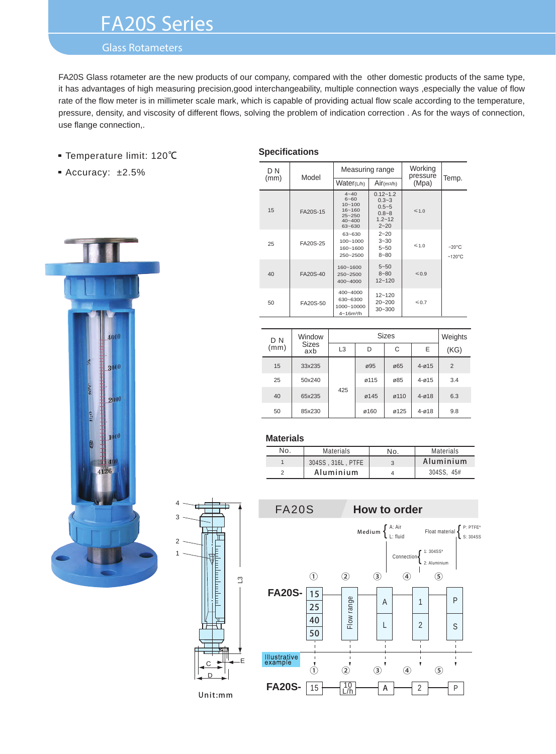# FA20S Series

# Glass Rotameters

FA20S Glass rotameter are the new products of our company, compared with the other domestic products of the same type, it has advantages of high measuring precision,good interchangeability, multiple connection ways ,especially the value of flow rate of the flow meter is in millimeter scale mark, which is capable of providing actual flow scale according to the temperature, pressure, density, and viscosity of different flows, solving the problem of indication correction . As for the ways of connection, use flange connection,.

- Temperature limit: 120℃
- Accuracy: ±2.5%



# **Specifications**

| D N  | Model                                                                                              | Measuring range                                     |                                                                               | Working<br>pressure | Temp.                               |  |
|------|----------------------------------------------------------------------------------------------------|-----------------------------------------------------|-------------------------------------------------------------------------------|---------------------|-------------------------------------|--|
| (mm) |                                                                                                    | Water(L/h)                                          | Air(m3/h)                                                                     | (Mpa)               |                                     |  |
| 15   | $4 - 40$<br>$6 - 60$<br>$10 - 100$<br>$16 - 160$<br>FA20S-15<br>$25 - 250$<br>$40 - 400$<br>63~630 |                                                     | $0.12 - 1.2$<br>$0.3 - 3$<br>$0.5 - 5$<br>$0.8 - 8$<br>$1.2 - 12$<br>$2 - 20$ | $\leq 1.0$          |                                     |  |
| 25   | FA20S-25                                                                                           | 63~630<br>100~1000<br>160~1600<br>250~2500          | $2 - 20$<br>$3 - 30$<br>$5 - 50$<br>$8 - 80$                                  | $\leq 1.0$          | $-20^{\circ}$ C<br>$~120^{\circ}$ C |  |
| 40   | FA20S-40                                                                                           |                                                     | $5 - 50$<br>$8 - 80$<br>$12 - 120$                                            | $\leqslant$ 0.9     |                                     |  |
| 50   | FA20S-50                                                                                           | 400~4000<br>630~6300<br>1000~10000<br>$4 - 16m^3/h$ | $12 - 120$<br>$20 - 200$<br>$30 - 300$                                        | $\leqslant$ 0.7     |                                     |  |

| D N  | Window<br><b>Sizes</b><br>axb |                | Weights |      |           |      |
|------|-------------------------------|----------------|---------|------|-----------|------|
| (mm) |                               | L <sub>3</sub> | D       | C    | E         | (KG) |
| 15   | 33x235                        |                | ø95     | ø65  | $4 - 015$ | 2    |
| 25   | 50x240                        |                | ø115    | ø85  | $4 - 015$ | 3.4  |
| 40   | 65x235                        | 425            | ø145    | ø110 | $4 - 018$ | 6.3  |
| 50   | 85x230                        |                | ø160    | ø125 | $4 - 018$ | 9.8  |

#### **Materials**

 $\overline{C}$ D

Unit:mm

Π

1

2

3

4

| No. | <b>Materials</b>  | N٥ | <b>Materials</b> |  |
|-----|-------------------|----|------------------|--|
|     | 304SS, 316L, PTFE |    | Aluminium        |  |
|     | Aluminium         |    | 304SS, 45#       |  |

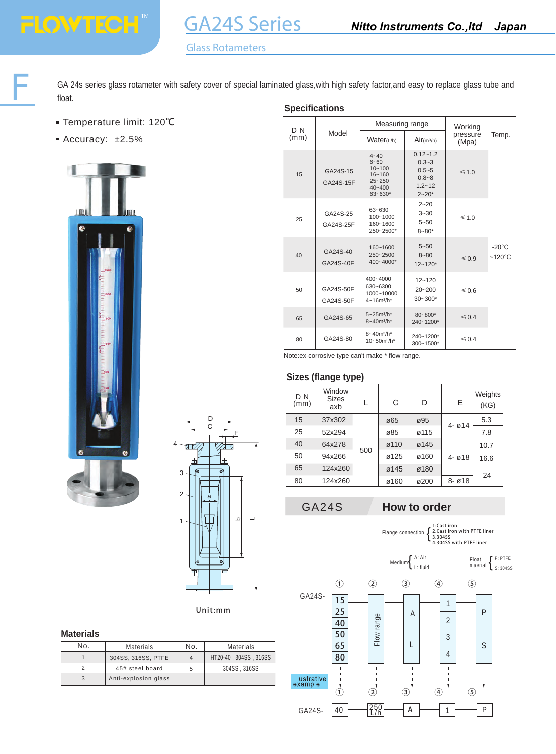GA 24s series glass rotameter with safety cover of special laminated glass,with high safety factor,and easy to replace glass tube and float. **Specifications** 

- Temperature limit: 120℃
- Accuracy: ±2.5%

**FLOWTECH** 





Unit:mm

#### **Materials**

| No. | Materials            | No. | <b>Materials</b>      |
|-----|----------------------|-----|-----------------------|
|     | 304SS, 316SS, PTFE   |     | HT20-40, 304SS, 316SS |
|     | 45# steel board      | 5   | 304SS, 316SS          |
|     | Anti-explosion glass |     |                       |

| D <sub>N</sub> |                        | Measuring range                                                                             |                                                                                | Working           | Temp.                               |
|----------------|------------------------|---------------------------------------------------------------------------------------------|--------------------------------------------------------------------------------|-------------------|-------------------------------------|
| (mm)           | Model                  | Water(L/h)                                                                                  | Air(m3/h)                                                                      | pressure<br>(Mpa) |                                     |
| 15             | GA24S-15<br>GA24S-15F  | $4 - 40$<br>$6 - 60$<br>$10 - 100$<br>$16 - 160$<br>$25 - 250$<br>$40 - 400$<br>$63 - 630*$ | $0.12 - 1.2$<br>$0.3 - 3$<br>$0.5 - 5$<br>$0.8 - 8$<br>$1.2 - 12$<br>$2 - 20*$ | $\leq 1.0$        |                                     |
| 25             | GA24S-25<br>GA24S-25F  | 63~630<br>100~1000<br>160~1600<br>250~2500*                                                 | $2 - 20$<br>$3 - 30$<br>$5 - 50$<br>$8 - 80*$                                  | $\leq 1.0$        |                                     |
| 40             | GA24S-40<br>GA24S-40F  | 160~1600<br>250~2500<br>400~4000*                                                           | $5 - 50$<br>$8 - 80$<br>$12 - 120*$                                            | $\leq 0.9$        | $-20^{\circ}$ C<br>$~120^{\circ}$ C |
| 50             | GA24S-50F<br>GA24S-50F | 400~4000<br>630~6300<br>1000~10000<br>$4 - 16m^3/h^*$                                       | $12 - 120$<br>$20 - 200$<br>$30 - 300*$                                        | ≤ 0.6             |                                     |
| 65             | GA24S-65               | $5 - 25m^3/h^*$<br>8~40m <sup>3</sup> /h*                                                   | 80~800*<br>240~1200*                                                           | $\leq 0.4$        |                                     |
| 80             | GA24S-80               | 8~40m <sup>3</sup> /h*<br>10~50m <sup>3</sup> /h*                                           | 240~1200*<br>300~1500*                                                         | $\leq 0.4$        |                                     |

Note:ex-corrosive type can't make \* flow range.

#### **Sizes (flange type)**

| D <sub>N</sub><br>(mm) | Window<br><b>Sizes</b><br>axb |     | C    | D    | E                                 | Weights<br>(KG) |
|------------------------|-------------------------------|-----|------|------|-----------------------------------|-----------------|
| 15                     | 37x302                        | 500 | ø65  | ø95  | $4 - 014$                         | 5.3             |
| 25                     | 52x294                        |     | ø85  | ø115 |                                   | 7.8             |
| 40                     | 64x278                        |     | ø110 | ø145 | $4 - \varnothing 18$<br>$8 - 018$ | 10.7            |
| 50                     | 94x266                        |     | ø125 | ø160 |                                   | 16.6            |
| 65                     | 124x260                       |     | ø145 | ø180 |                                   | 24              |
| 80                     | 124x260                       |     | ø160 | ø200 |                                   |                 |

# GA24S **How to order**

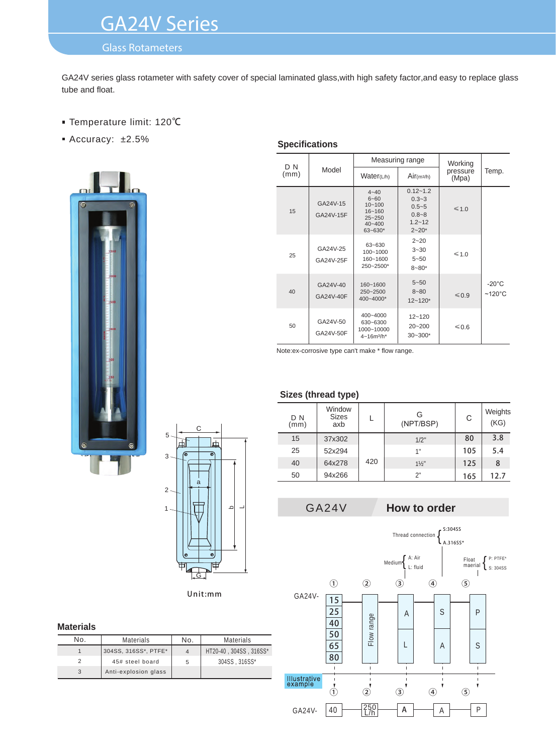# GA24V Series

# Glass Rotameters

GA24V series glass rotameter with safety cover of special laminated glass,with high safety factor,and easy to replace glass tube and float.

- Temperature limit: 120℃
- Accuracy: ±2.5%





Unit:mm

#### **Materials**

| No. | Materials            | No. | <b>Materials</b>       |
|-----|----------------------|-----|------------------------|
|     | 304SS, 316SS*, PTFE* |     | HT20-40, 304SS, 316SS* |
|     | 45# steel board      | 5   | 304SS.316SS*           |
|     | Anti-explosion glass |     |                        |

### **Specifications**

| D N  |                                                                                                                      |                                                       | Measuring range                                                                | Working           |                                     |
|------|----------------------------------------------------------------------------------------------------------------------|-------------------------------------------------------|--------------------------------------------------------------------------------|-------------------|-------------------------------------|
| (mm) | Model                                                                                                                | Water(L/h)                                            | Air(m3/h)                                                                      | pressure<br>(Mpa) | Temp.                               |
| 15   | $4 - 40$<br>$6 - 60$<br>GA24V-15<br>$10 - 100$<br>$16 - 160$<br>GA24V-15F<br>$25 - 250$<br>$40 - 400$<br>$63 - 630*$ |                                                       | $0.12 - 1.2$<br>$0.3 - 3$<br>$0.5 - 5$<br>$0.8 - 8$<br>$1.2 - 12$<br>$2 - 20*$ | $\leq 1.0$        |                                     |
| 25   | GA24V-25<br>GA24V-25F                                                                                                | 63~630<br>$100 - 1000$<br>160~1600<br>250~2500*       | $2 - 20$<br>$3 - 30$<br>$5 - 50$<br>$8 - 80*$                                  | $\leq 1.0$        |                                     |
| 40   | GA24V-40<br>GA24V-40F                                                                                                | 160~1600<br>250~2500<br>400~4000*                     | $5 - 50$<br>$8 - 80$<br>$12 - 120*$                                            | $\leq 0.9$        | $-20^{\circ}$ C<br>$~120^{\circ}$ C |
| 50   | GA24V-50<br>GA24V-50F                                                                                                | 400~4000<br>630~6300<br>1000~10000<br>$4 - 16m^3/h^*$ | $12 - 120$<br>$20 - 200$<br>$30 - 300*$                                        | ≤0.6              |                                     |

Note:ex-corrosive type can't make \* flow range.

### **Sizes (thread type)**

| D N<br>(mm) | Window<br><b>Sizes</b><br>axb |     | G<br>(NPT/BSP) | C   | Weights<br>(KG) |
|-------------|-------------------------------|-----|----------------|-----|-----------------|
| 15          | 37x302                        | 420 | $1/2$ "        | 80  | 3.8             |
| 25          | 52x294                        |     | 1"             | 105 | 5.4             |
| 40          | 64x278                        |     | $1\frac{1}{2}$ | 125 | 8               |
| 50          | 94x266                        |     | 2"             | 165 | 12.7            |

# GA24V **How to order**

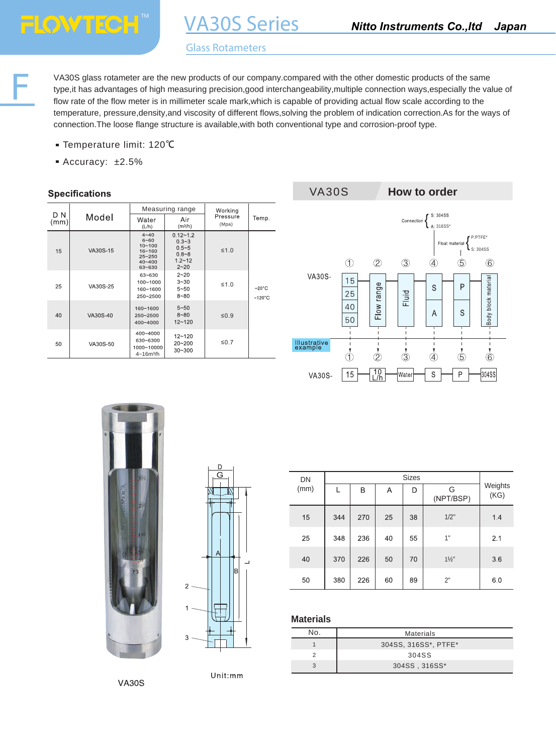F

# Glass Rotameters

VA30S Series

VA30S glass rotameter are the new products of our company.compared with the other domestic products of the same type,it has advantages of high measuring precision,good interchangeability,multiple connection ways,especially the value of flow rate of the flow meter is in millimeter scale mark,which is capable of providing actual flow scale according to the temperature, pressure,density,and viscosity of different flows,solving the problem of indication correction.As for the ways of connection.The loose flange structure is available,with both conventional type and corrosion-proof type.

- Temperature limit: 120℃
- Accuracy: ±2.5%

### **Specifications**

|             |          |                                                                                        | Measuring range                                                               | Working           |                                     |  |
|-------------|----------|----------------------------------------------------------------------------------------|-------------------------------------------------------------------------------|-------------------|-------------------------------------|--|
| D N<br>(mm) | Model    | Water<br>(L/h)                                                                         | Air<br>(m <sup>3</sup> /h)                                                    | Pressure<br>(Mpa) | Temp.                               |  |
| 15          | VA30S-15 | $4 - 40$<br>$6 - 60$<br>$10 - 100$<br>$16 - 160$<br>$25 - 250$<br>$40 - 400$<br>63~630 | $0.12 - 1.2$<br>$0.3 - 3$<br>$0.5 - 5$<br>$0.8 - 8$<br>$1.2 - 12$<br>$2 - 20$ | $\leq 1.0$        |                                     |  |
| 25          | VA30S-25 | $63 - 630$<br>100~1000<br>160~1600<br>250~2500                                         | $2 - 20$<br>$3 - 30$<br>$5 - 50$<br>$8 - 80$                                  | $\leq 1.0$        | $-20^{\circ}$ C<br>$~120^{\circ}$ C |  |
| 40          | VA30S-40 | 160~1600<br>250~2500<br>400~4000                                                       | $5 - 50$<br>$8 - 80$<br>$12 - 120$                                            | $\leq 0.9$        |                                     |  |
| 50          | VA30S-50 | 400~4000<br>630~6300<br>1000~10000<br>$4 - 16m^3/h$                                    | $12 - 120$<br>$20 - 200$<br>$30 - 300$                                        | $\leq 0.7$        |                                     |  |







| DN   |     |     |    |    |                  |                 |
|------|-----|-----|----|----|------------------|-----------------|
| (mm) |     | B   | Α  | D  | G<br>(NPT/BSP)   | Weights<br>(KG) |
| 15   | 344 | 270 | 25 | 38 | $1/2$ "          | 1.4             |
| 25   | 348 | 236 | 40 | 55 | 1"               | 2.1             |
| 40   | 370 | 226 | 50 | 70 | $1\frac{1}{2}$ " | 3.6             |
| 50   | 380 | 226 | 60 | 89 | 2"               | 6.0             |

#### **Materials**

| NΩ | <b>Materials</b>     |
|----|----------------------|
|    | 304SS, 316SS*, PTFE* |
|    | 304SS                |
|    | 304SS, 316SS*        |

**VA30S**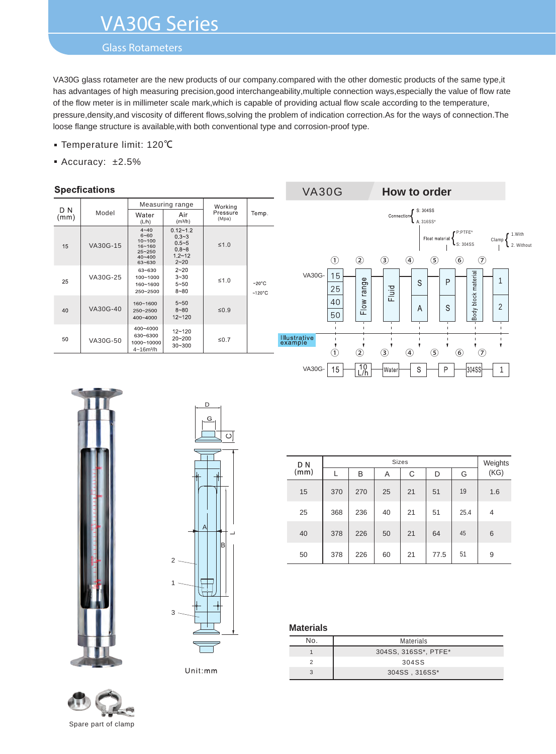# VA30G Series

# Glass Rotameters

VA30G glass rotameter are the new products of our company.compared with the other domestic products of the same type,it has advantages of high measuring precision,good interchangeability,multiple connection ways,especially the value of flow rate of the flow meter is in millimeter scale mark,which is capable of providing actual flow scale according to the temperature, pressure,density,and viscosity of different flows,solving the problem of indication correction.As for the ways of connection.The loose flange structure is available,with both conventional type and corrosion-proof type.

- Temperature limit: 120℃
- Accuracy: ±2.5%

## **Specfications**

|             |          |                                                                                        | Measuring range                                                               | Working           |                                     |  |
|-------------|----------|----------------------------------------------------------------------------------------|-------------------------------------------------------------------------------|-------------------|-------------------------------------|--|
| D N<br>(mm) | Model    | Water<br>(L/h)                                                                         | Air<br>(m <sup>3</sup> /h)                                                    | Pressure<br>(Mpa) | Temp.                               |  |
| 15          | VA30G-15 | $4 - 40$<br>$6 - 60$<br>$10 - 100$<br>$16 - 160$<br>$25 - 250$<br>$40 - 400$<br>63~630 | $0.12 - 1.2$<br>$0.3 - 3$<br>$0.5 - 5$<br>$0.8 - 8$<br>$1.2 - 12$<br>$2 - 20$ | $\leq 1.0$        |                                     |  |
| 25          | VA30G-25 | 63~630<br>100~1000<br>160~1600<br>$250 - 2500$                                         | $2 - 20$<br>$3 - 30$<br>$5 - 50$<br>$8 - 80$                                  | $\leq 1.0$        | $-20^{\circ}$ C<br>$~120^{\circ}$ C |  |
| 40          | VA30G-40 | 160~1600<br>250~2500<br>$400 - 4000$                                                   | $5 - 50$<br>$8 - 80$<br>$12 - 120$                                            | $\leq 0.9$        |                                     |  |
| 50          | VA30G-50 | 400~4000<br>630~6300<br>1000~10000<br>$4 - 16m^3/h$                                    | $12 - 120$<br>$20 - 200$<br>$30 - 300$                                        | $\leq 0.7$        |                                     |  |







D

Unit:mm



|  |               |     | Weights |    |    |      |      |                |
|--|---------------|-----|---------|----|----|------|------|----------------|
|  | $D N$<br>(mm) |     | B       | Α  | C  | D    | G    | (KG)           |
|  | 15            | 370 | 270     | 25 | 21 | 51   | 19   | 1.6            |
|  | 25            | 368 | 236     | 40 | 21 | 51   | 25.4 | $\overline{4}$ |
|  | 40            | 378 | 226     | 50 | 21 | 64   | 45   | 6              |
|  | 50            | 378 | 226     | 60 | 21 | 77.5 | 51   | 9              |

# **Materials**

| No. | <b>Materials</b>     |
|-----|----------------------|
|     | 304SS, 316SS*, PTFE* |
|     | 304SS                |
|     | 304SS, 316SS*        |

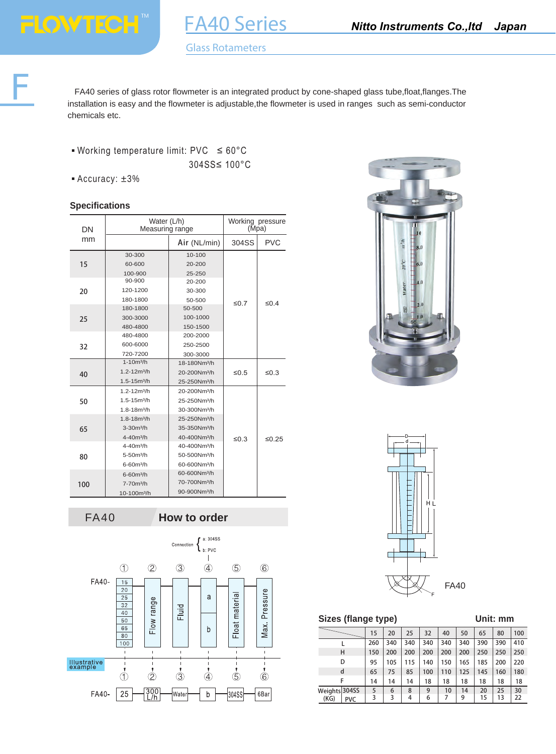FA40 series of glass rotor flowmeter is an integrated product by cone-shaped glass tube,float,flanges.The installation is easy and the flowmeter is adjustable,the flowmeter is used in ranges such as semi-conductor chemicals etc.

- Working temperature limit: PVC  $\leq 60^{\circ}$ C 304SS≤ 100°C
- Accuracy: ±3%

# **Specifications**

| DN  | Water (L/h)<br>Measuring range |                          | Working pressure<br>(Mpa) |            |
|-----|--------------------------------|--------------------------|---------------------------|------------|
| mm  |                                | Air (NL/min)             | 304SS                     | <b>PVC</b> |
|     | 30-300                         | 10-100                   |                           |            |
| 15  | 60-600                         | 20-200                   |                           |            |
|     | 100-900                        | 25-250                   |                           |            |
|     | 90-900                         | 20-200                   |                           |            |
| 20  | 120-1200                       | 30-300                   |                           |            |
|     | 180-1800                       | 50-500                   | $\leq 0.7$                | $\leq 0.4$ |
|     | 180-1800                       | 50-500                   |                           |            |
| 25  | 300-3000                       | 100-1000                 |                           |            |
|     | 480-4800                       | 150-1500                 |                           |            |
|     | 480-4800                       | 200-2000                 |                           |            |
| 32  | 600-6000                       | 250-2500                 |                           |            |
|     | 720-7200                       | 300-3000                 |                           |            |
|     | $1 - 10m^3/h$                  | 18-180Nm <sup>3</sup> /h |                           |            |
| 40  | $1.2 - 12m3/h$                 | 20-200Nm <sup>3</sup> /h | $\leq 0.5$                | $\leq 0.3$ |
|     | $1.5 - 15m3/h$                 | 25-250Nm <sup>3</sup> /h |                           |            |
|     | $1.2 - 12m3/h$                 | 20-200Nm <sup>3</sup> /h |                           |            |
| 50  | $1.5 - 15m3/h$                 | 25-250Nm <sup>3</sup> /h |                           |            |
|     | 1.8-18m <sup>3</sup> /h        | 30-300Nm <sup>3</sup> /h |                           |            |
|     | $1.8 - 18m^3/h$                | 25-250Nm <sup>3</sup> /h |                           |            |
| 65  | 3-30m <sup>3</sup> /h          | 35-350Nm <sup>3</sup> /h |                           |            |
|     | $4 - 40m^3/h$                  | 40-400Nm <sup>3</sup> /h | $\leq 0.3$                | ≤0.25      |
|     | $4 - 40m^3/h$                  | 40-400Nm <sup>3</sup> /h |                           |            |
| 80  | $5 - 50m^3/h$                  | 50-500Nm <sup>3</sup> /h |                           |            |
|     | $6 - 60m^3/h$                  | 60-600Nm <sup>3</sup> /h |                           |            |
|     | 6-60m <sup>3</sup> /h          | 60-600Nm <sup>3</sup> /h |                           |            |
| 100 | $7 - 70m^3/h$                  | 70-700Nm <sup>3</sup> /h |                           |            |
|     | 10-100m <sup>3</sup> /h        | 90-900Nm <sup>3</sup> /h |                           |            |









| Unit: mm<br>Sizes (flange type) |     |     |     |     |     |     |     |     |     |
|---------------------------------|-----|-----|-----|-----|-----|-----|-----|-----|-----|
|                                 | 15  | 20  | 25  | 32  | 40  | 50  | 65  | 80  | 100 |
|                                 | 260 | 340 | 340 | 340 | 340 | 340 | 390 | 390 | 410 |
| н                               | 150 | 200 | 200 | 200 | 200 | 200 | 250 | 250 | 250 |
| D                               | 95  | 105 | 115 | 140 | 150 | 165 | 185 | 200 | 220 |
| d                               | 65  | 75  | 85  | 100 | 110 | 125 | 145 | 160 | 180 |
| F                               | 14  | 14  | 14  | 18  | 18  | 18  | 18  | 18  | 18  |
| Weights 304SS                   | 5   | 6   | 8   | 9   | 10  | 14  | 20  | 25  | 30  |
| (KG)<br><b>PVC</b>              | 3   | 3   | 4   | 6   | 7   | 9   | 15  | 13  | 22  |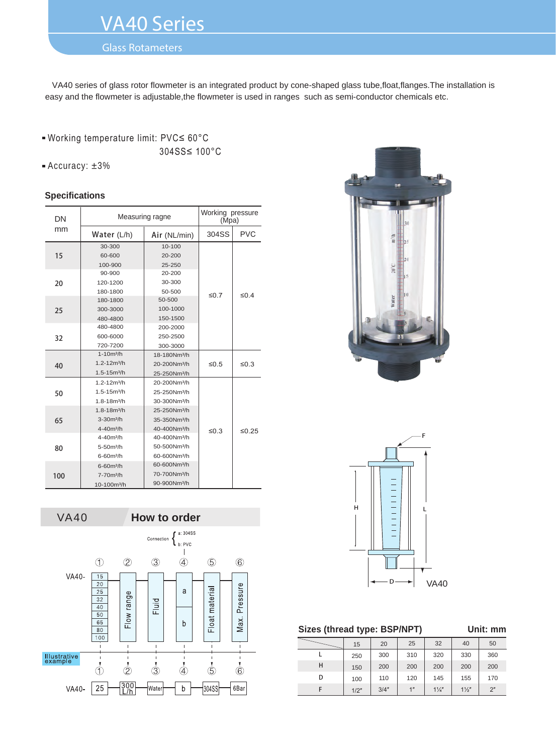# VA40 Series

# Glass Rotameters

 VA40 series of glass rotor flowmeter is an integrated product by cone-shaped glass tube,float,flanges.The installation is easy and the flowmeter is adjustable,the flowmeter is used in ranges such as semi-conductor chemicals etc.

# ■ Working temperature limit: PVC≤ 60°C 304SS≤ 100°C

Accuracy: ±3%

#### **Specifications**

| DN  |                         | Measuring ragne          |            |            |  |  |
|-----|-------------------------|--------------------------|------------|------------|--|--|
| mm  | Water $(L/h)$           | Air (NL/min)             | 304SS      | <b>PVC</b> |  |  |
|     | 30-300                  | 10-100                   |            |            |  |  |
| 15  | 60-600                  | 20-200                   |            |            |  |  |
|     | 100-900                 | 25-250                   |            |            |  |  |
|     | 90-900                  | 20-200                   |            |            |  |  |
| 20  | 120-1200                | 30-300                   |            |            |  |  |
|     | 180-1800                | 50-500                   | $\leq 0.7$ | $\leq 0.4$ |  |  |
|     | 180-1800                | 50-500                   |            |            |  |  |
| 25  | 300-3000                | 100-1000                 |            |            |  |  |
|     | 480-4800                | 150-1500                 |            |            |  |  |
|     | 480-4800                | 200-2000                 |            |            |  |  |
| 32  | 600-6000                | 250-2500                 |            |            |  |  |
|     | 720-7200                | 300-3000                 |            |            |  |  |
|     | $1 - 10m^3/h$           | 18-180Nm <sup>3</sup> /h |            |            |  |  |
| 40  | $1.2 - 12m3/h$          | 20-200Nm <sup>3</sup> /h | $\leq 0.5$ | $\leq 0.3$ |  |  |
|     | 1.5-15m <sup>3</sup> /h | 25-250Nm <sup>3</sup> /h |            |            |  |  |
|     | $1.2 - 12m3/h$          | 20-200Nm <sup>3</sup> /h |            |            |  |  |
| 50  | 1.5-15m <sup>3</sup> /h | 25-250Nm <sup>3</sup> /h |            |            |  |  |
|     | 1.8-18m <sup>3</sup> /h | 30-300Nm <sup>3</sup> /h |            |            |  |  |
|     | 1.8-18m <sup>3</sup> /h | 25-250Nm <sup>3</sup> /h |            |            |  |  |
| 65  | $3 - 30m^3/h$           | 35-350Nm <sup>3</sup> /h |            |            |  |  |
|     | $4 - 40m^3/h$           | 40-400Nm <sup>3</sup> /h | $\leq 0.3$ | ≤0.25      |  |  |
|     | $4 - 40m^3/h$           | 40-400Nm <sup>3</sup> /h |            |            |  |  |
| 80  | 5-50m <sup>3</sup> /h   | 50-500Nm <sup>3</sup> /h |            |            |  |  |
|     | 6-60m <sup>3</sup> /h   | 60-600Nm <sup>3</sup> /h |            |            |  |  |
|     | 6-60m <sup>3</sup> /h   | 60-600Nm <sup>3</sup> /h |            |            |  |  |
| 100 | $7 - 70m^3/h$           | 70-700Nm <sup>3</sup> /h |            |            |  |  |
|     | 10-100m <sup>3</sup> /h | 90-900Nm <sup>3</sup> /h |            |            |  |  |







### **Sizes (thread type: BSP/NPT) Unit: mm**

|   | 15   | 20   | 25  | 32             | 40             | 50  |
|---|------|------|-----|----------------|----------------|-----|
|   | 250  | 300  | 310 | 320            | 330            | 360 |
| н | 150  | 200  | 200 | 200            | 200            | 200 |
| D | 100  | 110  | 120 | 145            | 155            | 170 |
|   | 1/2" | 3/4" | 1"  | $1\frac{1}{4}$ | $1\frac{1}{2}$ | 2"  |